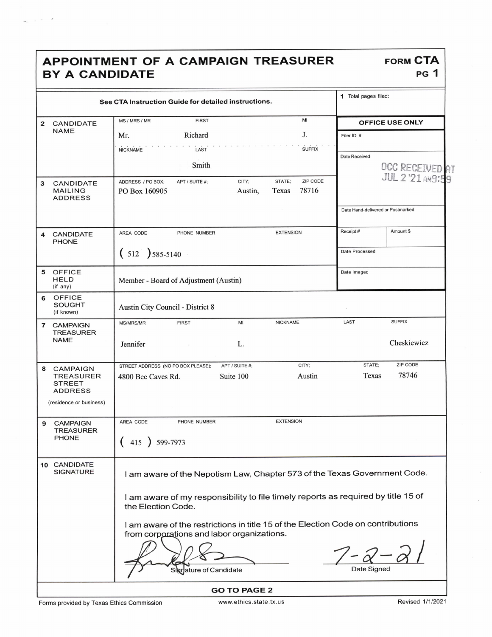## APPOINTMENT OF A CAMPAIGN TREASURER FORM CTA<br>BY A CANDIDATE BY A CANDIDATE

| See CTA Instruction Guide for detailed instructions. |                                                                                                               |                                                                                                                                |                                     | 1 Total pages filed:   |  |
|------------------------------------------------------|---------------------------------------------------------------------------------------------------------------|--------------------------------------------------------------------------------------------------------------------------------|-------------------------------------|------------------------|--|
|                                                      |                                                                                                               |                                                                                                                                |                                     |                        |  |
| 2                                                    | <b>CANDIDATE</b><br><b>NAME</b>                                                                               | MI<br>MS / MRS / MR<br><b>FIRST</b>                                                                                            |                                     | <b>OFFICE USE ONLY</b> |  |
|                                                      |                                                                                                               | J.<br>Richard<br>Mr.                                                                                                           | Filer ID #                          |                        |  |
|                                                      |                                                                                                               | <b>SUFFIX</b><br><b>NICKNAME</b><br>LAST                                                                                       | Date Received                       |                        |  |
|                                                      |                                                                                                               | Smith                                                                                                                          |                                     |                        |  |
|                                                      |                                                                                                               | ZIP CODE<br>CITY:<br>STATE:<br>ADDRESS / PO BOX:<br>APT / SUITE #:                                                             | OCC RECEIVED AT<br>JUL 2 '21 AM9:59 |                        |  |
| 3                                                    | CANDIDATE<br><b>MAILING</b>                                                                                   | 78716<br>Texas<br>PO Box 160905<br>Austin,                                                                                     |                                     |                        |  |
|                                                      | <b>ADDRESS</b>                                                                                                |                                                                                                                                |                                     |                        |  |
|                                                      |                                                                                                               |                                                                                                                                | Date Hand-delivered or Postmarked   |                        |  |
| 4                                                    | <b>CANDIDATE</b><br><b>PHONE</b>                                                                              | <b>EXTENSION</b><br>AREA CODE<br>PHONE NUMBER                                                                                  | Receipt#                            | Amount \$              |  |
|                                                      |                                                                                                               | $(512)$ 585-5140                                                                                                               | Date Processed                      |                        |  |
| 5                                                    | OFFICE<br><b>HELD</b><br>(if any)                                                                             | Member - Board of Adjustment (Austin)                                                                                          | Date Imaged                         |                        |  |
| 6                                                    | <b>OFFICE</b><br><b>SOUGHT</b><br>(if known)                                                                  | Austin City Council - District 8                                                                                               |                                     |                        |  |
|                                                      | 7 CAMPAIGN                                                                                                    | MI<br><b>NICKNAME</b><br><b>FIRST</b><br><b>MS/MRS/MR</b>                                                                      | LAST                                | <b>SUFFIX</b>          |  |
|                                                      | <b>TREASURER</b><br><b>NAME</b>                                                                               | Jennifer<br>L.                                                                                                                 |                                     | Cheskiewicz            |  |
| 8                                                    | <b>CAMPAIGN</b>                                                                                               | CITY;<br>STREET ADDRESS (NO PO BOX PLEASE);<br>APT / SUITE #:                                                                  | STATE:                              | ZIP CODE               |  |
|                                                      | <b>TREASURER</b><br><b>STREET</b><br><b>ADDRESS</b>                                                           | Suite 100<br>Austin<br>4800 Bee Caves Rd.                                                                                      | Texas                               | 78746                  |  |
| (residence or business)                              |                                                                                                               |                                                                                                                                |                                     |                        |  |
| 9                                                    | <b>CAMPAIGN</b>                                                                                               | <b>EXTENSION</b><br>AREA CODE<br>PHONE NUMBER                                                                                  |                                     |                        |  |
|                                                      | <b>TREASURER</b><br><b>PHONE</b>                                                                              | 415 ) 599-7973                                                                                                                 |                                     |                        |  |
|                                                      | 10 CANDIDATE<br><b>SIGNATURE</b><br>I am aware of the Nepotism Law, Chapter 573 of the Texas Government Code. |                                                                                                                                |                                     |                        |  |
|                                                      | I am aware of my responsibility to file timely reports as required by title 15 of<br>the Election Code.       |                                                                                                                                |                                     |                        |  |
|                                                      |                                                                                                               | I am aware of the restrictions in title 15 of the Election Code on contributions<br>from corporations and labor organizations. |                                     |                        |  |
|                                                      |                                                                                                               |                                                                                                                                | Date Signed                         |                        |  |
|                                                      |                                                                                                               | Signature of Candidate                                                                                                         |                                     |                        |  |
| <b>GO TO PAGE 2</b>                                  |                                                                                                               |                                                                                                                                |                                     |                        |  |